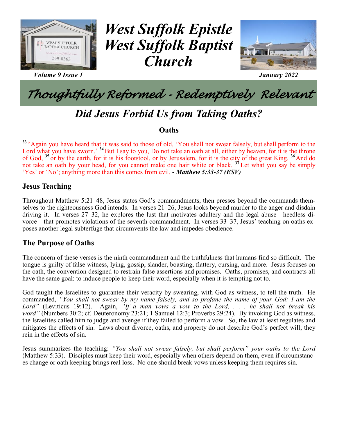

*Volume 9 Issue 1 January 2022*

## *West Suffolk Epistle West Suffolk Baptist Church*



## *Thoughtfully Reformed - Redemptively Relevant*

## *Did Jesus Forbid Us from Taking Oaths?*

#### **Oaths**

**<sup>33</sup>** "Again you have heard that it was said to those of old, 'You shall not swear falsely, but shall perform to the Lord what you have sworn.' <sup>34</sup>But I say to you, Do not take an oath at all, either by heaven, for it is the throne of God, **<sup>35</sup>** or by the earth, for it is his footstool, or by Jerusalem, for it is the city of the great King. **<sup>36</sup>**And do not take an oath by your head, for you cannot make one hair white or black. **<sup>37</sup>** Let what you say be simply 'Yes' or 'No'; anything more than this comes from evil. *- Matthew 5:33-37 (ESV)*

#### **Jesus Teaching**

Throughout Matthew 5:21–48, Jesus states God's commandments, then presses beyond the commands themselves to the righteousness God intends. In verses 21–26, Jesus looks beyond murder to the anger and disdain driving it. In verses 27–32, he explores the lust that motivates adultery and the legal abuse—heedless divorce—that promotes violations of the seventh commandment. In verses 33–37, Jesus' teaching on oaths exposes another legal subterfuge that circumvents the law and impedes obedience.

#### **The Purpose of Oaths**

The concern of these verses is the ninth commandment and the truthfulness that humans find so difficult. The tongue is guilty of false witness, lying, gossip, slander, boasting, flattery, cursing, and more. Jesus focuses on the oath, the convention designed to restrain false assertions and promises. Oaths, promises, and contracts all have the same goal: to induce people to keep their word, especially when it is tempting not to.

God taught the Israelites to guarantee their veracity by swearing, with God as witness, to tell the truth. He commanded, *"You shall not swear by my name falsely, and so profane the name of your God: I am the Lord"* (Leviticus 19:12). Again, *"If a man vows a vow to the Lord, . . . he shall not break his word"* (Numbers 30:2; cf. Deuteronomy 23:21; 1 Samuel 12:3; Proverbs 29:24). By invoking God as witness, the Israelites called him to judge and avenge if they failed to perform a vow. So, the law at least regulates and mitigates the effects of sin. Laws about divorce, oaths, and property do not describe God's perfect will; they rein in the effects of sin.

Jesus summarizes the teaching: *"You shall not swear falsely, but shall perform" your oaths to the Lord*  (Matthew 5:33). Disciples must keep their word, especially when others depend on them, even if circumstances change or oath keeping brings real loss. No one should break vows unless keeping them requires sin.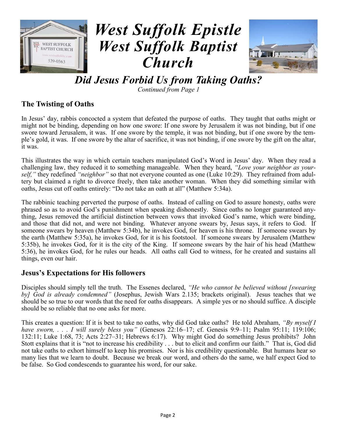



## *Did Jesus Forbid Us from Taking Oaths?*

*Continued from Page 1*

### **The Twisting of Oaths**

In Jesus' day, rabbis concocted a system that defeated the purpose of oaths. They taught that oaths might or might not be binding, depending on how one swore: If one swore by Jerusalem it was not binding, but if one swore toward Jerusalem, it was. If one swore by the temple, it was not binding, but if one swore by the temple's gold, it was. If one swore by the altar of sacrifice, it was not binding, if one swore by the gift on the altar, it was.

This illustrates the way in which certain teachers manipulated God's Word in Jesus' day. When they read a challenging law, they reduced it to something manageable. When they heard, *"Love your neighbor as yourself,"* they redefined *"neighbor"* so that not everyone counted as one (Luke 10:29). They refrained from adultery but claimed a right to divorce freely, then take another woman. When they did something similar with oaths, Jesus cut off oaths entirely: "Do not take an oath at all" (Matthew 5:34a).

The rabbinic teaching perverted the purpose of oaths. Instead of calling on God to assure honesty, oaths were phrased so as to avoid God's punishment when speaking dishonestly. Since oaths no longer guaranteed anything, Jesus removed the artificial distinction between vows that invoked God's name, which were binding, and those that did not, and were not binding. Whatever anyone swears by, Jesus says, it refers to God. If someone swears by heaven (Matthew 5:34b), he invokes God, for heaven is his throne. If someone swears by the earth (Matthew 5:35a), he invokes God, for it is his footstool. If someone swears by Jerusalem (Matthew 5:35b), he invokes God, for it is the city of the King. If someone swears by the hair of his head (Matthew 5:36), he invokes God, for he rules our heads. All oaths call God to witness, for he created and sustains all things, even our hair.

#### **Jesus's Expectations for His followers**

Disciples should simply tell the truth. The Essenes declared, *"He who cannot be believed without [swearing by] God is already condemned"* (Josephus, Jewish Wars 2.135; brackets original). Jesus teaches that we should be so true to our words that the need for oaths disappears. A simple yes or no should suffice. A disciple should be so reliable that no one asks for more.

This creates a question: If it is best to take no oaths, why did God take oaths? He told Abraham, *"By myself I have sworn, . . . I will surely bless you"* (Genesos 22:16–17; cf. Genesis 9:9–11; Psalm 95:11; 119:106; 132:11; Luke 1:68, 73; Acts 2:27–31; Hebrews 6:17). Why might God do something Jesus prohibits? John Stott explains that it is "not to increase his credibility . . . but to elicit and confirm our faith." That is, God did not take oaths to exhort himself to keep his promises. Nor is his credibility questionable. But humans hear so many lies that we learn to doubt. Because we break our word, and others do the same, we half expect God to be false. So God condescends to guarantee his word, for our sake.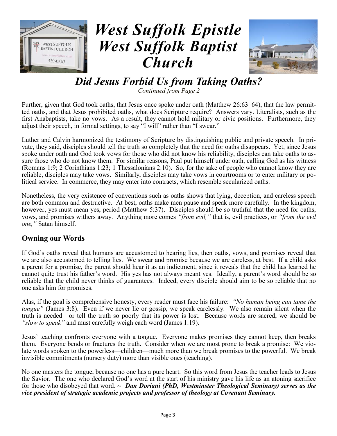



### *Did Jesus Forbid Us from Taking Oaths? Continued from Page 2*

Further, given that God took oaths, that Jesus once spoke under oath (Matthew 26:63–64), that the law permitted oaths, and that Jesus prohibited oaths, what does Scripture require? Answers vary. Literalists, such as the first Anabaptists, take no vows. As a result, they cannot hold military or civic positions. Furthermore, they adjust their speech, in formal settings, to say "I will" rather than "I swear."

Luther and Calvin harmonized the testimony of Scripture by distinguishing public and private speech. In private, they said, disciples should tell the truth so completely that the need for oaths disappears. Yet, since Jesus spoke under oath and God took vows for those who did not know his reliability, disciples can take oaths to assure those who do not know them. For similar reasons, Paul put himself under oath, calling God as his witness (Romans 1:9; 2 Corinthians 1:23; 1 Thessalonians 2:10). So, for the sake of people who cannot know they are reliable, disciples may take vows. Similarly, disciples may take vows in courtrooms or to enter military or political service. In commerce, they may enter into contracts, which resemble secularized oaths.

Nonetheless, the very existence of conventions such as oaths shows that lying, deception, and careless speech are both common and destructive. At best, oaths make men pause and speak more carefully. In the kingdom, however, yes must mean yes, period (Matthew 5:37). Disciples should be so truthful that the need for oaths, vows, and promises withers away. Anything more comes *"from evil,"* that is, evil practices, or *"from the evil one,"* Satan himself.

#### **Owning our Words**

If God's oaths reveal that humans are accustomed to hearing lies, then oaths, vows, and promises reveal that we are also accustomed to telling lies. We swear and promise because we are careless, at best. If a child asks a parent for a promise, the parent should hear it as an indictment, since it reveals that the child has learned he cannot quite trust his father's word. His yes has not always meant yes. Ideally, a parent's word should be so reliable that the child never thinks of guarantees. Indeed, every disciple should aim to be so reliable that no one asks him for promises.

Alas, if the goal is comprehensive honesty, every reader must face his failure: *"No human being can tame the tongue"* (James 3:8). Even if we never lie or gossip, we speak carelessly. We also remain silent when the truth is needed—or tell the truth so poorly that its power is lost. Because words are sacred, we should be *"slow to speak"* and must carefully weigh each word (James 1:19).

Jesus' teaching confronts everyone with a tongue. Everyone makes promises they cannot keep, then breaks them. Everyone bends or fractures the truth. Consider when we are most prone to break a promise: We violate words spoken to the powerless—children—much more than we break promises to the powerful. We break invisible commitments (nursery duty) more than visible ones (teaching).

No one masters the tongue, because no one has a pure heart. So this word from Jesus the teacher leads to Jesus the Savior. The one who declared God's word at the start of his ministry gave his life as an atoning sacrifice for those who disobeyed that word. *~ Dan Doriani (PhD, Westminster Theological Seminary) serves as the vice president of strategic academic projects and professor of theology at Covenant Seminary.*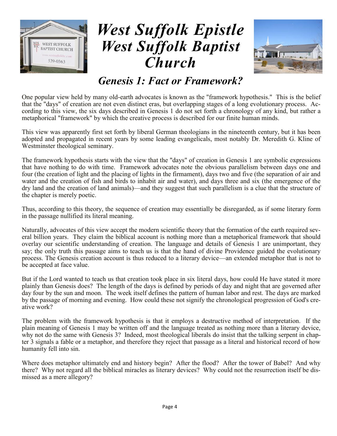



## *Genesis 1: Fact or Framework?*

One popular view held by many old-earth advocates is known as the "framework hypothesis." This is the belief that the "days" of creation are not even distinct eras, but overlapping stages of a long evolutionary process. According to this view, the six days described in Genesis 1 do not set forth a chronology of any kind, but rather a metaphorical "framework" by which the creative process is described for our finite human minds.

This view was apparently first set forth by liberal German theologians in the nineteenth century, but it has been adopted and propagated in recent years by some leading evangelicals, most notably Dr. Meredith G. Kline of Westminster theological seminary.

The framework hypothesis starts with the view that the "days" of creation in Genesis 1 are symbolic expressions that have nothing to do with time. Framework advocates note the obvious parallelism between days one and four (the creation of light and the placing of lights in the firmament), days two and five (the separation of air and water and the creation of fish and birds to inhabit air and water), and days three and six (the emergence of the dry land and the creation of land animals)—and they suggest that such parallelism is a clue that the structure of the chapter is merely poetic.

Thus, according to this theory, the sequence of creation may essentially be disregarded, as if some literary form in the passage nullified its literal meaning.

Naturally, advocates of this view accept the modern scientific theory that the formation of the earth required several billion years. They claim the biblical account is nothing more than a metaphorical framework that should overlay our scientific understanding of creation. The language and details of Genesis 1 are unimportant, they say; the only truth this passage aims to teach us is that the hand of divine Providence guided the evolutionary process. The Genesis creation account is thus reduced to a literary device—an extended metaphor that is not to be accepted at face value.

But if the Lord wanted to teach us that creation took place in six literal days, how could He have stated it more plainly than Genesis does? The length of the days is defined by periods of day and night that are governed after day four by the sun and moon. The week itself defines the pattern of human labor and rest. The days are marked by the passage of morning and evening. How could these not signify the chronological progression of God's creative work?

The problem with the framework hypothesis is that it employs a destructive method of interpretation. If the plain meaning of Genesis 1 may be written off and the language treated as nothing more than a literary device, why not do the same with Genesis 3? Indeed, most theological liberals do insist that the talking serpent in chapter 3 signals a fable or a metaphor, and therefore they reject that passage as a literal and historical record of how humanity fell into sin.

Where does metaphor ultimately end and history begin? After the flood? After the tower of Babel? And why there? Why not regard all the biblical miracles as literary devices? Why could not the resurrection itself be dismissed as a mere allegory?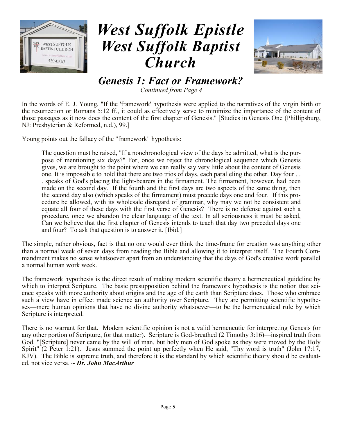



### *Genesis 1: Fact or Framework?*

*Continued from Page 4*

In the words of E. J. Young, "If the 'framework' hypothesis were applied to the narratives of the virgin birth or the resurrection or Romans 5:12 ff., it could as effectively serve to minimize the importance of the content of those passages as it now does the content of the first chapter of Genesis." [Studies in Genesis One (Phillipsburg, NJ: Presbyterian & Reformed, n.d.), 99.]

Young points out the fallacy of the "framework" hypothesis:

The question must be raised, "If a nonchronological view of the days be admitted, what is the purpose of mentioning six days?" For, once we reject the chronological sequence which Genesis gives, we are brought to the point where we can really say very little about the content of Genesis one. It is impossible to hold that there are two trios of days, each paralleling the other. Day four . . . speaks of God's placing the light-bearers in the firmament. The firmament, however, had been made on the second day. If the fourth and the first days are two aspects of the same thing, then the second day also (which speaks of the firmament) must precede days one and four. If this procedure be allowed, with its wholesale disregard of grammar, why may we not be consistent and equate all four of these days with the first verse of Genesis? There is no defense against such a procedure, once we abandon the clear language of the text. In all seriousness it must be asked, Can we believe that the first chapter of Genesis intends to teach that day two preceded days one and four? To ask that question is to answer it. [Ibid.]

The simple, rather obvious, fact is that no one would ever think the time-frame for creation was anything other than a normal week of seven days from reading the Bible and allowing it to interpret itself. The Fourth Commandment makes no sense whatsoever apart from an understanding that the days of God's creative work parallel a normal human work week.

The framework hypothesis is the direct result of making modern scientific theory a hermeneutical guideline by which to interpret Scripture. The basic presupposition behind the framework hypothesis is the notion that science speaks with more authority about origins and the age of the earth than Scripture does. Those who embrace such a view have in effect made science an authority over Scripture. They are permitting scientific hypotheses—mere human opinions that have no divine authority whatsoever—to be the hermeneutical rule by which Scripture is interpreted.

There is no warrant for that. Modern scientific opinion is not a valid hermeneutic for interpreting Genesis (or any other portion of Scripture, for that matter). Scripture is God-breathed (2 Timothy 3:16)—inspired truth from God. "[Scripture] never came by the will of man, but holy men of God spoke as they were moved by the Holy Spirit" (2 Peter 1:21). Jesus summed the point up perfectly when He said, "Thy word is truth" (John 17:17, KJV). The Bible is supreme truth, and therefore it is the standard by which scientific theory should be evaluated, not vice versa. *~ Dr. John MacArthur*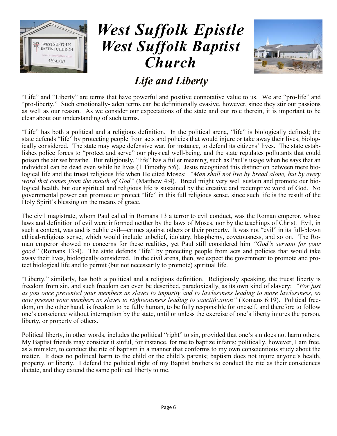





"Life" and "Liberty" are terms that have powerful and positive connotative value to us. We are "pro-life" and "pro-liberty." Such emotionally-laden terms can be definitionally evasive, however, since they stir our passions as well as our reason. As we consider our expectations of the state and our role therein, it is important to be clear about our understanding of such terms.

"Life" has both a political and a religious definition. In the political arena, "life" is biologically defined; the state defends "life" by protecting people from acts and policies that would injure or take away their lives, biologically considered. The state may wage defensive war, for instance, to defend its citizens' lives. The state establishes police forces to "protect and serve" our physical well-being, and the state regulates pollutants that could poison the air we breathe. But religiously, "life" has a fuller meaning, such as Paul's usage when he says that an individual can be dead even while he lives (1 Timothy 5:6). Jesus recognized this distinction between mere biological life and the truest religious life when He cited Moses: *"Man shall not live by bread alone, but by every word that comes from the mouth of God"* (Matthew 4:4). Bread might very well sustain and promote our biological health, but our spiritual and religious life is sustained by the creative and redemptive word of God. No governmental power can promote or protect "life" in this full religious sense, since such life is the result of the Holy Spirit's blessing on the means of grace.

The civil magistrate, whom Paul called in Romans 13 a terror to evil conduct, was the Roman emperor, whose laws and definition of evil were informed neither by the laws of Moses, nor by the teachings of Christ. Evil, in such a context, was and is public evil—crimes against others or their property. It was not "evil" in its full-blown ethical-religious sense, which would include unbelief, idolatry, blasphemy, covetousness, and so on. The Roman emperor showed no concerns for these realities, yet Paul still considered him *"God's servant for your good"* (Romans 13:4). The state defends "life" by protecting people from acts and policies that would take away their lives, biologically considered. In the civil arena, then, we expect the government to promote and protect biological life and to permit (but not necessarily to promote) spiritual life.

"Liberty," similarly, has both a political and a religious definition. Religiously speaking, the truest liberty is freedom from sin, and such freedom can even be described, paradoxically, as its own kind of slavery: *"For just as you once presented your members as slaves to impurity and to lawlessness leading to more lawlessness, so now present your members as slaves to righteousness leading to sanctification"* (Romans 6:19). Political freedom, on the other hand, is freedom to be fully human, to be fully responsible for oneself, and therefore to follow one's conscience without interruption by the state, until or unless the exercise of one's liberty injures the person, liberty, or property of others.

Political liberty, in other words, includes the political "right" to sin, provided that one's sin does not harm others. My Baptist friends may consider it sinful, for instance, for me to baptize infants; politically, however, I am free, as a minister, to conduct the rite of baptism in a manner that conforms to my own conscientious study about the matter. It does no political harm to the child or the child's parents; baptism does not injure anyone's health, property, or liberty. I defend the political right of my Baptist brothers to conduct the rite as their consciences dictate, and they extend the same political liberty to me.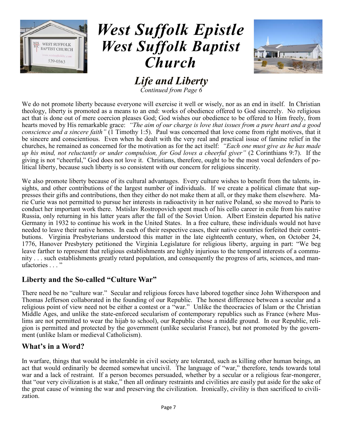



### *Life and Liberty Continued from Page 6*

We do not promote liberty because everyone will exercise it well or wisely, nor as an end in itself. In Christian theology, liberty is promoted as a means to an end: works of obedience offered to God sincerely. No religious act that is done out of mere coercion pleases God; God wishes our obedience to be offered to Him freely, from hearts moved by His remarkable grace: *"The aim of our charge is love that issues from a pure heart and a good conscience and a sincere faith"* (1 Timothy 1:5). Paul was concerned that love come from right motives, that it be sincere and conscientious. Even when he dealt with the very real and practical issue of famine relief in the churches, he remained as concerned for the motivation as for the act itself: *"Each one must give as he has made up his mind, not reluctantly or under compulsion, for God loves a cheerful giver"* (2 Corinthians 9:7). If the giving is not "cheerful," God does not love it. Christians, therefore, ought to be the most vocal defenders of political liberty, because such liberty is so consistent with our concern for religious sincerity.

We also promote liberty because of its cultural advantages. Every culture wishes to benefit from the talents, insights, and other contributions of the largest number of individuals. If we create a political climate that suppresses their gifts and contributions, then they either do not make them at all, or they make them elsewhere. Marie Curie was not permitted to pursue her interests in radioactivity in her native Poland, so she moved to Paris to conduct her important work there. Mstislav Rostropovich spent much of his cello career in exile from his native Russia, only returning in his latter years after the fall of the Soviet Union. Albert Einstein departed his native Germany in 1932 to continue his work in the United States. In a free culture, these individuals would not have needed to leave their native homes. In each of their respective cases, their native countries forfeited their contributions. Virginia Presbyterians understood this matter in the late eighteenth century, when, on October 24, 1776, Hanover Presbytery petitioned the Virginia Legislature for religious liberty, arguing in part: "We beg leave farther to represent that religious establishments are highly injurious to the temporal interests of a community . . . such establishments greatly retard population, and consequently the progress of arts, sciences, and manufactories . . . "

### **Liberty and the So-called "Culture War"**

There need be no "culture war." Secular and religious forces have labored together since John Witherspoon and Thomas Jefferson collaborated in the founding of our Republic. The honest difference between a secular and a religious point of view need not be either a contest or a "war." Unlike the theocracies of Islam or the Christian Middle Ages, and unlike the state-enforced secularism of contemporary republics such as France (where Muslims are not permitted to wear the hijab to school), our Republic chose a middle ground. In our Republic, religion is permitted and protected by the government (unlike secularist France), but not promoted by the government (unlike Islam or medieval Catholicism).

### **What's in a Word?**

In warfare, things that would be intolerable in civil society are tolerated, such as killing other human beings, an act that would ordinarily be deemed somewhat uncivil. The language of "war," therefore, tends towards total war and a lack of restraint. If a person becomes persuaded, whether by a secular or a religious fear-mongerer, that "our very civilization is at stake," then all ordinary restraints and civilities are easily put aside for the sake of the great cause of winning the war and preserving the civilization. Ironically, civility is then sacrificed to civilization.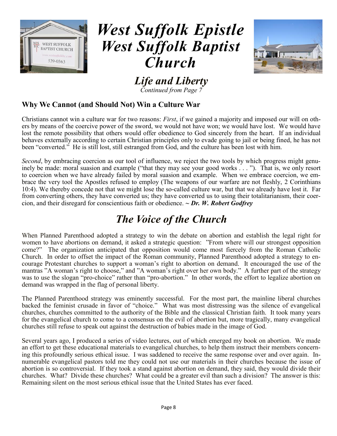



### *Life and Liberty Continued from Page 7*

#### **Why We Cannot (and Should Not) Win a Culture War**

Christians cannot win a culture war for two reasons: *First*, if we gained a majority and imposed our will on others by means of the coercive power of the sword, we would not have won; we would have lost. We would have lost the remote possibility that others would offer obedience to God sincerely from the heart. If an individual behaves externally according to certain Christian principles only to evade going to jail or being fined, he has not been "converted." He is still lost, still estranged from God, and the culture has been lost with him.

*Second*, by embracing coercion as our tool of influence, we reject the two tools by which progress might genuinely be made: moral suasion and example ("that they may see your good works . . . "). That is, we only resort to coercion when we have already failed by moral suasion and example. When we embrace coercion, we embrace the very tool the Apostles refused to employ (The weapons of our warfare are not fleshly, 2 Corinthians 10:4). We thereby concede not that we might lose the so-called culture war, but that we already have lost it. Far from converting others, they have converted us; they have converted us to using their totalitarianism, their coercion, and their disregard for conscientious faith or obedience. *~ Dr. W. Robert Godfrey* 

## *The Voice of the Church*

When Planned Parenthood adopted a strategy to win the debate on abortion and establish the legal right for women to have abortions on demand, it asked a strategic question: "From where will our strongest opposition come?" The organization anticipated that opposition would come most fiercely from the Roman Catholic Church. In order to offset the impact of the Roman community, Planned Parenthood adopted a strategy to encourage Protestant churches to support a woman's right to abortion on demand. It encouraged the use of the mantras "A woman's right to choose," and "A woman's right over her own body." A further part of the strategy was to use the slogan "pro-choice" rather than "pro-abortion." In other words, the effort to legalize abortion on demand was wrapped in the flag of personal liberty.

The Planned Parenthood strategy was eminently successful. For the most part, the mainline liberal churches backed the feminist crusade in favor of "choice." What was most distressing was the silence of evangelical churches, churches committed to the authority of the Bible and the classical Christian faith. It took many years for the evangelical church to come to a consensus on the evil of abortion but, more tragically, many evangelical churches still refuse to speak out against the destruction of babies made in the image of God.

Several years ago, I produced a series of video lectures, out of which emerged my book on abortion. We made an effort to get these educational materials to evangelical churches, to help them instruct their members concerning this profoundly serious ethical issue. I was saddened to receive the same response over and over again. Innumerable evangelical pastors told me they could not use our materials in their churches because the issue of abortion is so controversial. If they took a stand against abortion on demand, they said, they would divide their churches. What? Divide these churches? What could be a greater evil than such a division? The answer is this: Remaining silent on the most serious ethical issue that the United States has ever faced.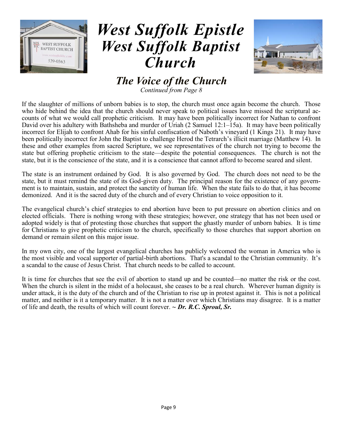



*The Voice of the Church Continued from Page 8*

If the slaughter of millions of unborn babies is to stop, the church must once again become the church. Those who hide behind the idea that the church should never speak to political issues have missed the scriptural accounts of what we would call prophetic criticism. It may have been politically incorrect for Nathan to confront David over his adultery with Bathsheba and murder of Uriah (2 Samuel 12:1–15a). It may have been politically incorrect for Elijah to confront Ahab for his sinful confiscation of Naboth's vineyard (1 Kings 21). It may have been politically incorrect for John the Baptist to challenge Herod the Tetrarch's illicit marriage (Matthew 14). In these and other examples from sacred Scripture, we see representatives of the church not trying to become the state but offering prophetic criticism to the state—despite the potential consequences. The church is not the state, but it is the conscience of the state, and it is a conscience that cannot afford to become seared and silent.

The state is an instrument ordained by God. It is also governed by God. The church does not need to be the state, but it must remind the state of its God-given duty. The principal reason for the existence of any government is to maintain, sustain, and protect the sanctity of human life. When the state fails to do that, it has become demonized. And it is the sacred duty of the church and of every Christian to voice opposition to it.

The evangelical church's chief strategies to end abortion have been to put pressure on abortion clinics and on elected officials. There is nothing wrong with these strategies; however, one strategy that has not been used or adopted widely is that of protesting those churches that support the ghastly murder of unborn babies. It is time for Christians to give prophetic criticism to the church, specifically to those churches that support abortion on demand or remain silent on this major issue.

In my own city, one of the largest evangelical churches has publicly welcomed the woman in America who is the most visible and vocal supporter of partial-birth abortions. That's a scandal to the Christian community. It's a scandal to the cause of Jesus Christ. That church needs to be called to account.

It is time for churches that see the evil of abortion to stand up and be counted—no matter the risk or the cost. When the church is silent in the midst of a holocaust, she ceases to be a real church. Wherever human dignity is under attack, it is the duty of the church and of the Christian to rise up in protest against it. This is not a political matter, and neither is it a temporary matter. It is not a matter over which Christians may disagree. It is a matter of life and death, the results of which will count forever. *~ Dr. R.C. Sproul, Sr.*